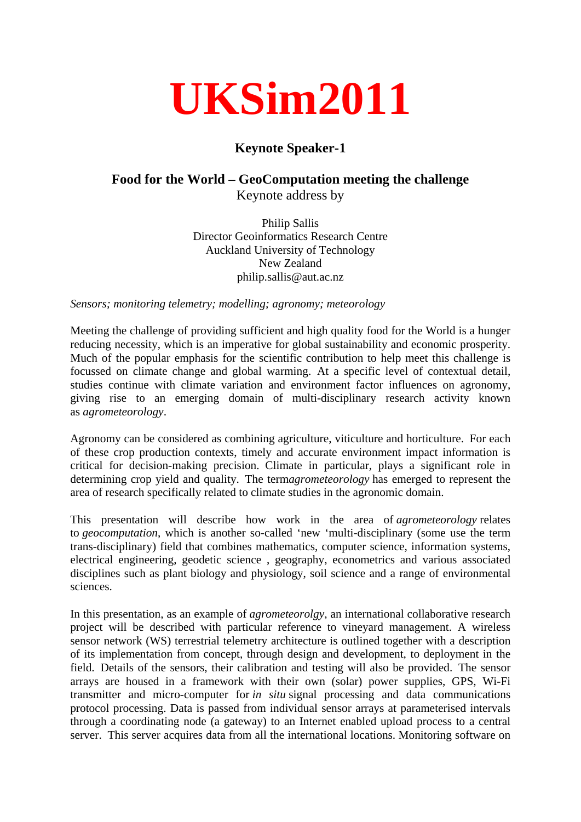## **UKSim2011**

## **Keynote Speaker-1**

## **Food for the World – GeoComputation meeting the challenge** Keynote address by

Philip Sallis Director Geoinformatics Research Centre Auckland University of Technology New Zealand philip.sallis@aut.ac.nz

*Sensors; monitoring telemetry; modelling; agronomy; meteorology*

Meeting the challenge of providing sufficient and high quality food for the World is a hunger reducing necessity, which is an imperative for global sustainability and economic prosperity. Much of the popular emphasis for the scientific contribution to help meet this challenge is focussed on climate change and global warming. At a specific level of contextual detail, studies continue with climate variation and environment factor influences on agronomy, giving rise to an emerging domain of multi-disciplinary research activity known as *agrometeorology*.

Agronomy can be considered as combining agriculture, viticulture and horticulture. For each of these crop production contexts, timely and accurate environment impact information is critical for decision-making precision. Climate in particular, plays a significant role in determining crop yield and quality. The term*agrometeorology* has emerged to represent the area of research specifically related to climate studies in the agronomic domain.

This presentation will describe how work in the area of *agrometeorology* relates to *geocomputation*, which is another so-called 'new 'multi-disciplinary (some use the term trans-disciplinary) field that combines mathematics, computer science, information systems, electrical engineering, geodetic science , geography, econometrics and various associated disciplines such as plant biology and physiology, soil science and a range of environmental sciences.

In this presentation, as an example of *agrometeorolgy*, an international collaborative research project will be described with particular reference to vineyard management. A wireless sensor network (WS) terrestrial telemetry architecture is outlined together with a description of its implementation from concept, through design and development, to deployment in the field. Details of the sensors, their calibration and testing will also be provided. The sensor arrays are housed in a framework with their own (solar) power supplies, GPS, Wi-Fi transmitter and micro-computer for *in situ* signal processing and data communications protocol processing. Data is passed from individual sensor arrays at parameterised intervals through a coordinating node (a gateway) to an Internet enabled upload process to a central server. This server acquires data from all the international locations. Monitoring software on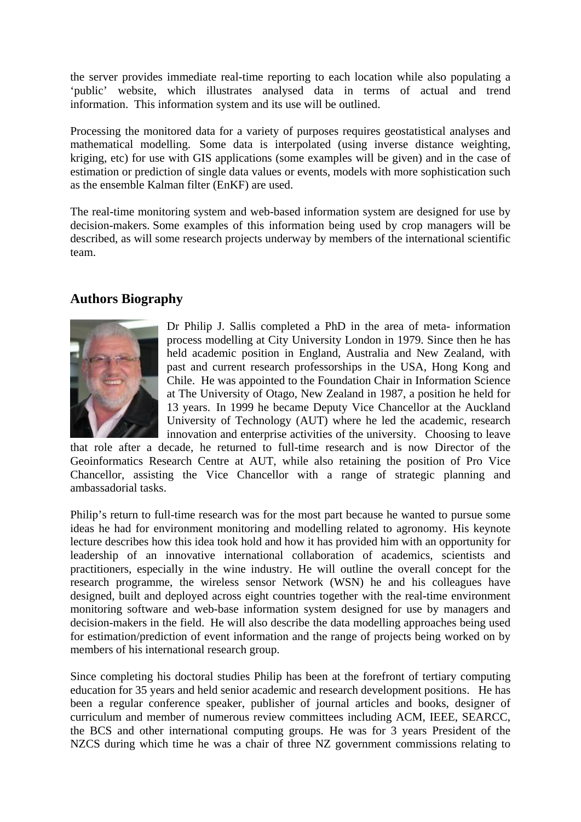the server provides immediate real-time reporting to each location while also populating a 'public' website, which illustrates analysed data in terms of actual and trend information. This information system and its use will be outlined.

Processing the monitored data for a variety of purposes requires geostatistical analyses and mathematical modelling. Some data is interpolated (using inverse distance weighting, kriging, etc) for use with GIS applications (some examples will be given) and in the case of estimation or prediction of single data values or events, models with more sophistication such as the ensemble Kalman filter (EnKF) are used.

The real-time monitoring system and web-based information system are designed for use by decision-makers. Some examples of this information being used by crop managers will be described, as will some research projects underway by members of the international scientific team.

## **Authors Biography**



Dr Philip J. Sallis completed a PhD in the area of meta- information process modelling at City University London in 1979. Since then he has held academic position in England, Australia and New Zealand, with past and current research professorships in the USA, Hong Kong and Chile. He was appointed to the Foundation Chair in Information Science at The University of Otago, New Zealand in 1987, a position he held for 13 years. In 1999 he became Deputy Vice Chancellor at the Auckland University of Technology (AUT) where he led the academic, research innovation and enterprise activities of the university. Choosing to leave

that role after a decade, he returned to full-time research and is now Director of the Geoinformatics Research Centre at AUT, while also retaining the position of Pro Vice Chancellor, assisting the Vice Chancellor with a range of strategic planning and ambassadorial tasks.

Philip's return to full-time research was for the most part because he wanted to pursue some ideas he had for environment monitoring and modelling related to agronomy. His keynote lecture describes how this idea took hold and how it has provided him with an opportunity for leadership of an innovative international collaboration of academics, scientists and practitioners, especially in the wine industry. He will outline the overall concept for the research programme, the wireless sensor Network (WSN) he and his colleagues have designed, built and deployed across eight countries together with the real-time environment monitoring software and web-base information system designed for use by managers and decision-makers in the field. He will also describe the data modelling approaches being used for estimation/prediction of event information and the range of projects being worked on by members of his international research group.

Since completing his doctoral studies Philip has been at the forefront of tertiary computing education for 35 years and held senior academic and research development positions. He has been a regular conference speaker, publisher of journal articles and books, designer of curriculum and member of numerous review committees including ACM, IEEE, SEARCC, the BCS and other international computing groups. He was for 3 years President of the NZCS during which time he was a chair of three NZ government commissions relating to